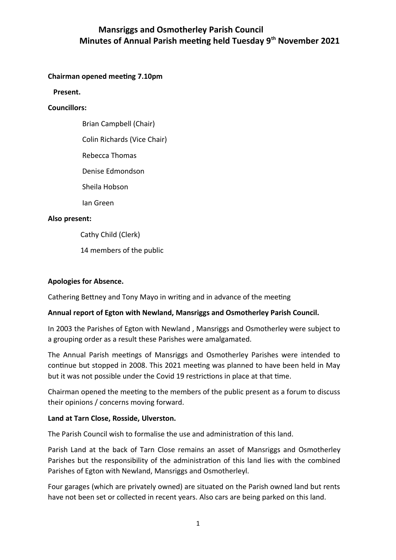# **Mansriggs and Osmotherley Parish Council Minutes of Annual Parish meeting held Tuesday 9th November 2021**

## **Chairman opened meeting 7.10pm**

 **Present.** 

#### **Councillors:**

Brian Campbell (Chair)

Colin Richards (Vice Chair)

Rebecca Thomas

Denise Edmondson

Sheila Hobson

Ian Green

### **Also present:**

Cathy Child (Clerk)

14 members of the public

### **Apologies for Absence.**

Cathering Bettney and Tony Mayo in writing and in advance of the meeting

## **Annual report of Egton with Newland, Mansriggs and Osmotherley Parish Council.**

In 2003 the Parishes of Egton with Newland , Mansriggs and Osmotherley were subject to a grouping order as a result these Parishes were amalgamated.

The Annual Parish meetings of Mansriggs and Osmotherley Parishes were intended to continue but stopped in 2008. This 2021 meeting was planned to have been held in May but it was not possible under the Covid 19 restrictions in place at that time.

Chairman opened the meeting to the members of the public present as a forum to discuss their opinions / concerns moving forward.

#### **Land at Tarn Close, Rosside, Ulverston.**

The Parish Council wish to formalise the use and administration of this land.

Parish Land at the back of Tarn Close remains an asset of Mansriggs and Osmotherley Parishes but the responsibility of the administration of this land lies with the combined Parishes of Egton with Newland, Mansriggs and Osmotherleyl.

Four garages (which are privately owned) are situated on the Parish owned land but rents have not been set or collected in recent years. Also cars are being parked on this land.